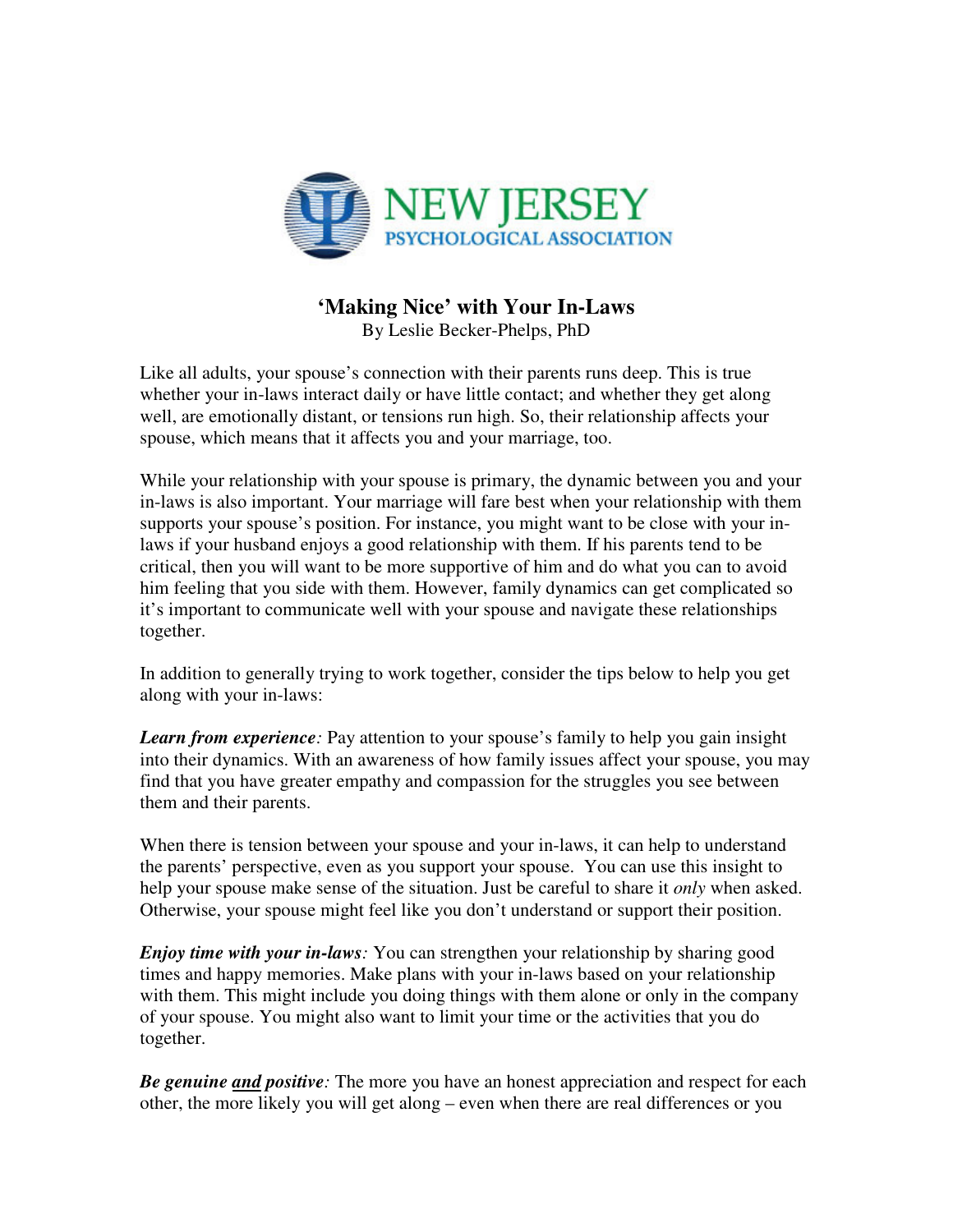

## **'Making Nice' with Your In-Laws**

By Leslie Becker-Phelps, PhD

Like all adults, your spouse's connection with their parents runs deep. This is true whether your in-laws interact daily or have little contact; and whether they get along well, are emotionally distant, or tensions run high. So, their relationship affects your spouse, which means that it affects you and your marriage, too.

While your relationship with your spouse is primary, the dynamic between you and your in-laws is also important. Your marriage will fare best when your relationship with them supports your spouse's position. For instance, you might want to be close with your inlaws if your husband enjoys a good relationship with them. If his parents tend to be critical, then you will want to be more supportive of him and do what you can to avoid him feeling that you side with them. However, family dynamics can get complicated so it's important to communicate well with your spouse and navigate these relationships together.

In addition to generally trying to work together, consider the tips below to help you get along with your in-laws:

*Learn from experience:* Pay attention to your spouse's family to help you gain insight into their dynamics. With an awareness of how family issues affect your spouse, you may find that you have greater empathy and compassion for the struggles you see between them and their parents.

When there is tension between your spouse and your in-laws, it can help to understand the parents' perspective, even as you support your spouse. You can use this insight to help your spouse make sense of the situation. Just be careful to share it *only* when asked. Otherwise, your spouse might feel like you don't understand or support their position.

*Enjoy time with your in-laws:* You can strengthen your relationship by sharing good times and happy memories. Make plans with your in-laws based on your relationship with them. This might include you doing things with them alone or only in the company of your spouse. You might also want to limit your time or the activities that you do together.

*Be genuine and positive:* The more you have an honest appreciation and respect for each other, the more likely you will get along – even when there are real differences or you